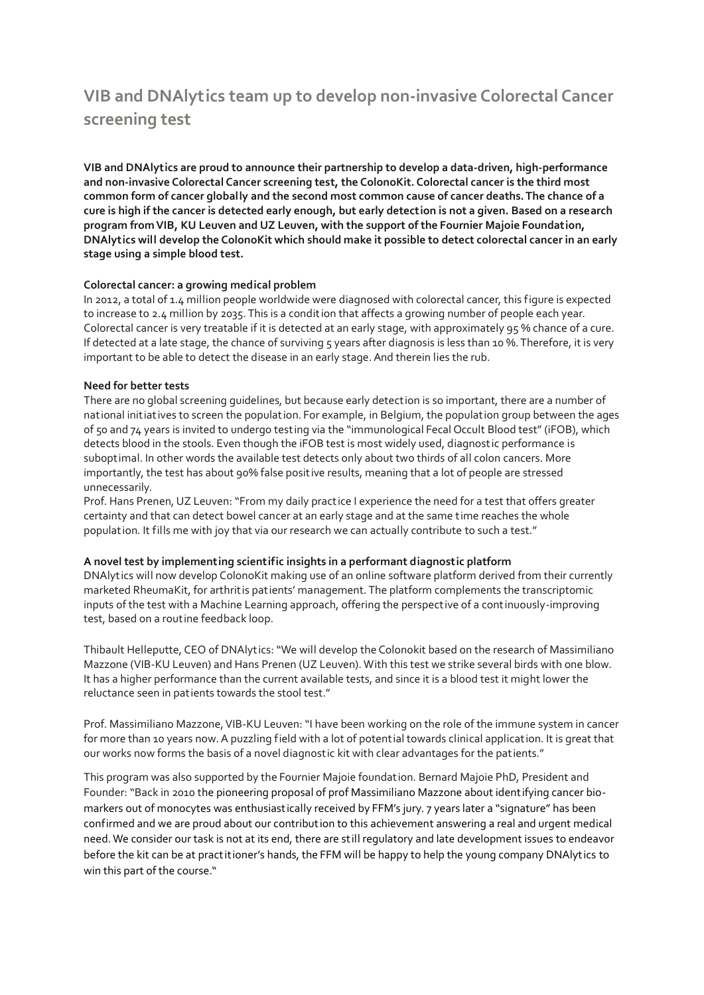# **VIB and DNAlytics team up to develop non-invasive Colorectal Cancer screening test**

**VIB and DNAlytics are proud to announce their partnership to develop a data-driven, high-performance and non-invasive Colorectal Cancer screening test, the ColonoKit. Colorectal cancer is the third most common form of cancer globally and the second most common cause of cancer deaths. The chance of a cure is high if the cancer is detected early enough, but early detection is not a given. Based on a research program from VIB, KU Leuven and UZ Leuven, with the support of the Fournier Majoie Foundation, DNAlytics will develop the ColonoKit which should make it possible to detect colorectal cancer in an early stage using a simple blood test.**

#### **Colorectal cancer: a growing medical problem**

In 2012, a total of 1.4 million people worldwide were diagnosed with colorectal cancer, this figure is expected to increase to 2.4 million by 2035. This is a condit ion that affects a growing number of people each year. Colorectal cancer is very treatable if it is detected at an early stage, with approximately 95 % chance of a cure. If detected at a late stage, the chance of surviving 5 years after diagnosis is less than 10 %. Therefore, it is very important to be able to detect the disease in an early stage. And therein lies the rub.

#### **Need for better tests**

There are no global screening guidelines, but because early detection is so important, there are a number of national initiatives to screen the population. For example, in Belgium, the population group between the ages of 50 and 74 years is invited to undergo testing via the "immunological Fecal Occult Blood test" (iFOB), which detects blood in the stools. Even though the iFOB test is most widely used, diagnostic performance is suboptimal. In other words the available test detects only about two thirds of all colon cancers. More importantly, the test has about 90% false positive results, meaning that a lot of people are stressed unnecessarily.

Prof. Hans Prenen, UZ Leuven: "From my daily practice I experience the need for a test that offers greater certainty and that can detect bowel cancer at an early stage and at the same time reaches the whole population. It fills me with joy that via our research we can actually contribute to such a test."

## **A novel test by implementing scientific insights in a performant diagnostic platform**

DNAlyt ics will now develop ColonoKit making use of an online software platform derived from their currently marketed RheumaKit, for arthritis patients' management. The platform complements the transcriptomic inputs of the test with a Machine Learning approach, offering the perspective of a continuously-improving test, based on a routine feedback loop.

Thibault Helleputte, CEO of DNAlyt ics: "We will develop the Colonokit based on the research of Massimiliano Mazzone (VIB-KU Leuven) and Hans Prenen (UZ Leuven). With this test we strike several birds with one blow. It has a higher performance than the current available tests, and since it is a blood test it might lower the reluctance seen in patients towards the stool test."

Prof. Massimiliano Mazzone, VIB-KU Leuven: "I have been working on the role of the immune system in cancer for more than 10 years now. A puzzling field with a lot of potential towards clinical application. It is great that our works now forms the basis of a novel diagnostic kit with clear advantages for the patients."

This program was also supported by the Fournier Majoie foundation. Bernard Majoie PhD, President and Founder: "Back in 2010 the pioneering proposal of prof Massimiliano Mazzone about identifying cancer biomarkers out of monocytes was enthusiastically received by FFM's jury. 7 years later a "signature" has been confirmed and we are proud about our contribution to this achievement answering a real and urgent medical need. We consider our task is not at its end, there are still regulatory and late development issues to endeavor before the kit can be at practitioner's hands, the FFM will be happy to help the young company DNAlyt ics to win this part of the course."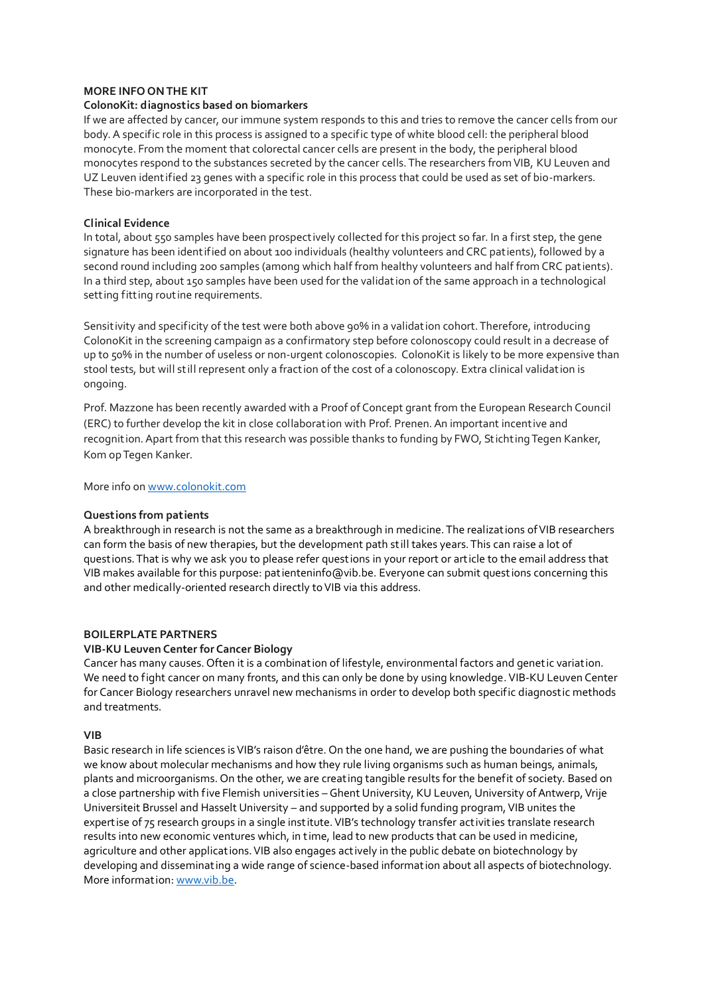#### **MORE INFO ON THE KIT**

#### **ColonoKit: diagnostics based on biomarkers**

If we are affected by cancer, our immune system responds to this and tries to remove the cancer cells from our body. A specific role in this process is assigned to a specific type of white blood cell: the peripheral blood monocyte. From the moment that colorectal cancer cells are present in the body, the peripheral blood monocytes respond to the substances secreted by the cancer cells. The researchers from VIB, KU Leuven and UZ Leuven ident ified 23 genes with a specific role in this process that could be used as set of bio-markers. These bio-markers are incorporated in the test.

#### **Clinical Evidence**

In total, about 550 samples have been prospect ively collected for this project so far. In a first step, the gene signature has been identified on about 100 individuals (healthy volunteers and CRC patients), followed by a second round including 200 samples (among which half from healthy volunteers and half from CRC patients). In a third step, about 150 samples have been used for the validation of the same approach in a technological sett ing fitt ing routine requirements.

Sensitivity and specificity of the test were both above 90% in a validation cohort. Therefore, introducing ColonoKit in the screening campaign as a confirmatory step before colonoscopy could result in a decrease of up to 50% in the number of useless or non-urgent colonoscopies. ColonoKit is likely to be more expensive than stool tests, but will still represent only a fraction of the cost of a colonoscopy. Extra clinical validation is ongoing.

Prof. Mazzone has been recently awarded with a Proof of Concept grant from the European Research Council (ERC) to further develop the kit in close collaboration with Prof. Prenen. An important incentive and recognition. Apart from that this research was possible thanks to funding by FWO, Stichting Tegen Kanker, Kom op Tegen Kanker.

More info o[n www.colonokit.com](http://www.colonokit.com/)

#### **Questions from patients**

A breakthrough in research is not the same as a breakthrough in medicine. The realizations of VIB researchers can form the basis of new therapies, but the development path still takes years. This can raise a lot of questions. That is why we ask you to please refer questions in your report or art icle to the email address that VIB makes available for this purpose: patienteninfo@vib.be. Everyone can submit quest ions concerning this and other medically-oriented research directly to VIB via this address.

#### **BOILERPLATE PARTNERS**

#### **VIB-KU Leuven Center for Cancer Biology**

Cancer has many causes. Often it is a combination of lifestyle, environmental factors and genetic variation. We need to fight cancer on many fronts, and this can only be done by using knowledge. VIB-KU Leuven Center for Cancer Biology researchers unravel new mechanisms in order to develop both specific diagnost ic methods and treatments.

#### **VIB**

Basic research in life sciences is VIB's raison d'être. On the one hand, we are pushing the boundaries of what we know about molecular mechanisms and how they rule living organisms such as human beings, animals, plants and microorganisms. On the other, we are creat ing tangible results for the benefit of society. Based on a close partnership with five Flemish universities – Ghent University, KU Leuven, University of Antwerp, Vrije Universiteit Brussel and Hasselt University – and supported by a solid funding program, VIB unites the expertise of 75 research groups in a single institute. VIB's technology transfer activities translate research results into new economic ventures which, in time, lead to new products that can be used in medicine, agriculture and other applications. VIB also engages actively in the public debate on biotechnology by developing and disseminating a wide range of science-based information about all aspects of biotechnology. More information[: www.vib.be.](http://www.vib.be/)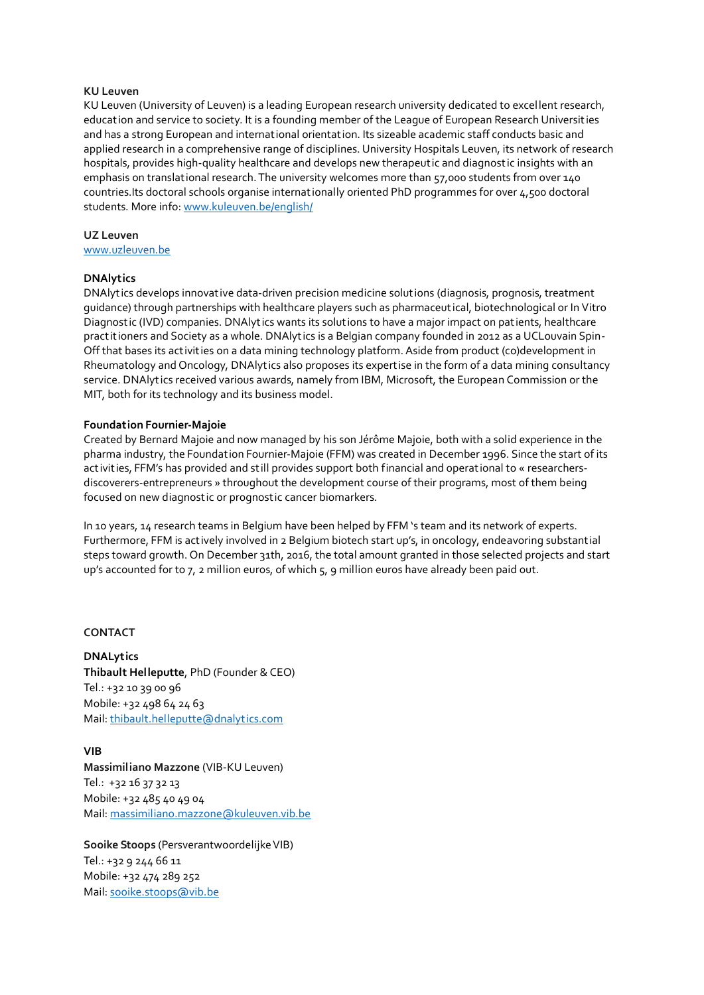#### **KU Leuven**

KU Leuven (University of Leuven) is a leading European research university dedicated to excellent research, education and service to society. It is a founding member of the League of European Research Universit ies and has a strong European and international orientation. Its sizeable academic staff conducts basic and applied research in a comprehensive range of disciplines. University Hospitals Leuven, its network of research hospitals, provides high-quality healthcare and develops new therapeutic and diagnostic insights with an emphasis on translational research. The university welcomes more than 57,000 students from over 140 countries.Its doctoral schools organise internationally oriented PhD programmes for over 4,500 doctoral students. More info[: www.kuleuven.be/english/](http://www.kuleuven.be/english/)

## **UZ Leuven**

[www.uzleuven.be](http://www.uzleuven.be/)

#### **DNAlytics**

DNAlyt ics develops innovative data-driven precision medicine solutions (diagnosis, prognosis, treatment guidance) through partnerships with healthcare players such as pharmaceutical, biotechnological or In Vitro Diagnostic (IVD) companies. DNAlyt ics wants its solutions to have a major impact on patients, healthcare practitioners and Society as a whole. DNAlytics is a Belgian company founded in 2012 as a UCLouvain Spin-Off that bases its activities on a data mining technology platform. Aside from product (co)development in Rheumatology and Oncology, DNAlytics also proposes its expertise in the form of a data mining consultancy service. DNAlytics received various awards, namely from IBM, Microsoft, the European Commission or the MIT, both for its technology and its business model.

#### **Foundation Fournier-Majoie**

Created by Bernard Majoie and now managed by his son Jérôme Majoie, both with a solid experience in the pharma industry, the Foundation Fournier-Majoie (FFM) was created in December 1996. Since the start of its activit ies, FFM's has provided and still provides support both financial and operational to « researchersdiscoverers-entrepreneurs » throughout the development course of their programs, most of them being focused on new diagnostic or prognostic cancer biomarkers.

In 10 years, 14 research teams in Belgium have been helped by FFM 's team and its network of experts. Furthermore, FFM is actively involved in 2 Belgium biotech start up's, in oncology, endeavoring substantial steps toward growth. On December 31th, 2016, the total amount granted in those selected projects and start up's accounted for to 7, 2 million euros, of which 5, 9 million euros have already been paid out.

#### **CONTACT**

**DNALytics Thibault Helleputte**, PhD (Founder & CEO) Tel.: +32 10 39 00 96 Mobile: +32 498 64 24 63 Mail[: thibault.helleputte@dnalyt ics.com](mailto:thibault.helleputte@dnalytics.com)

## **VIB**

**Massimiliano Mazzone** (VIB-KU Leuven) Tel.: +32 16 37 32 13 Mobile: +32 485 40 49 04 Mail[: massimiliano.mazzone@kuleuven.vib.be](mailto:massimiliano.mazzone@kuleuven.vib.be)

**Sooike Stoops** (Persverantwoordelijke VIB) Tel.: +32 9 244 66 11 Mobile: +32 474 289 252 Mail[: sooike.stoops@vib.be](mailto:sooike.stoops@vib.be)